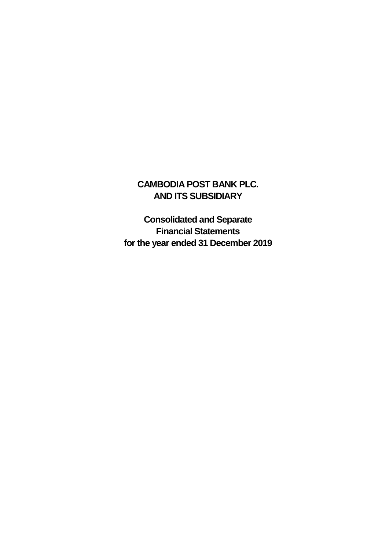### **CAMBODIA POST BANK PLC. AND ITS SUBSIDIARY**

**Consolidated and Separate Financial Statements for the year ended 31 December 2019**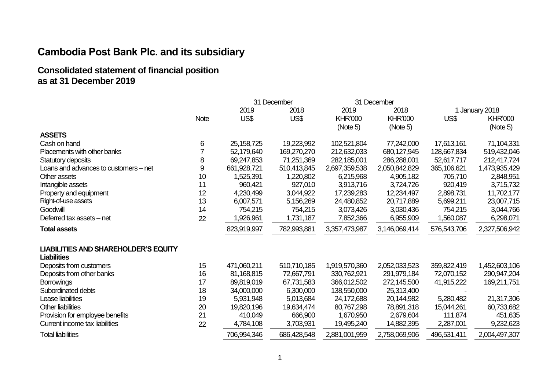**Consolidated statement of financial position as at 31 December 2019**

|                                             |             |              | 31 December | 31 December    |                |             |                |
|---------------------------------------------|-------------|--------------|-------------|----------------|----------------|-------------|----------------|
|                                             |             | 2019         | 2018        | 2019           | 2018           |             | 1 January 2018 |
|                                             | <b>Note</b> | US\$         | US\$        | <b>KHR'000</b> | <b>KHR'000</b> | US\$        | <b>KHR'000</b> |
|                                             |             |              |             | (Note 5)       | (Note 5)       |             | (Note 5)       |
| <b>ASSETS</b>                               |             |              |             |                |                |             |                |
| Cash on hand                                | 6           | 25, 158, 725 | 19,223,992  | 102,521,804    | 77,242,000     | 17,613,161  | 71,104,331     |
| Placements with other banks                 |             | 52,179,640   | 169,270,270 | 212,632,033    | 680,127,945    | 128,667,834 | 519,432,046    |
| Statutory deposits                          | 8           | 69,247,853   | 71,251,369  | 282,185,001    | 286,288,001    | 52,617,717  | 212,417,724    |
| Loans and advances to customers - net       | 9           | 661,928,721  | 510,413,845 | 2,697,359,538  | 2,050,842,829  | 365,106,621 | 1,473,935,429  |
| Other assets                                | 10          | 1,525,391    | 1,220,802   | 6,215,968      | 4,905,182      | 705,710     | 2,848,951      |
| Intangible assets                           | 11          | 960,421      | 927,010     | 3,913,716      | 3,724,726      | 920,419     | 3,715,732      |
| Property and equipment                      | 12          | 4,230,499    | 3,044,922   | 17,239,283     | 12,234,497     | 2,898,731   | 11,702,177     |
| Right-of-use assets                         | 13          | 6,007,571    | 5,156,269   | 24,480,852     | 20,717,889     | 5,699,211   | 23,007,715     |
| Goodwill                                    | 14          | 754,215      | 754,215     | 3,073,426      | 3,030,436      | 754,215     | 3,044,766      |
| Deferred tax assets – net                   | 22          | 1,926,961    | 1,731,187   | 7,852,366      | 6,955,909      | 1,560,087   | 6,298,071      |
| <b>Total assets</b>                         |             | 823,919,997  | 782,993,881 | 3,357,473,987  | 3,146,069,414  | 576,543,706 | 2,327,506,942  |
| <b>LIABILITIES AND SHAREHOLDER'S EQUITY</b> |             |              |             |                |                |             |                |
| <b>Liabilities</b>                          |             |              |             |                |                |             |                |
| Deposits from customers                     | 15          | 471,060,211  | 510,710,185 | 1,919,570,360  | 2,052,033,523  | 359,822,419 | 1,452,603,106  |
| Deposits from other banks                   | 16          | 81,168,815   | 72,667,791  | 330,762,921    | 291,979,184    | 72,070,152  | 290,947,204    |
| <b>Borrowings</b>                           | 17          | 89,819,019   | 67,731,583  | 366,012,502    | 272,145,500    | 41,915,222  | 169,211,751    |
| Subordinated debts                          | 18          | 34,000,000   | 6,300,000   | 138,550,000    | 25,313,400     |             |                |
| Lease liabilities                           | 19          | 5,931,948    | 5,013,684   | 24,172,688     | 20,144,982     | 5,280,482   | 21,317,306     |
| <b>Other liabilities</b>                    | 20          | 19,820,196   | 19,634,474  | 80,767,298     | 78,891,318     | 15,044,261  | 60,733,682     |
| Provision for employee benefits             | 21          | 410,049      | 666,900     | 1,670,950      | 2,679,604      | 111,874     | 451,635        |
| Current income tax liabilities              | 22          | 4,784,108    | 3,703,931   | 19,495,240     | 14,882,395     | 2,287,001   | 9,232,623      |
| <b>Total liabilities</b>                    |             | 706,994,346  | 686,428,548 | 2,881,001,959  | 2,758,069,906  | 496,531,411 | 2,004,497,307  |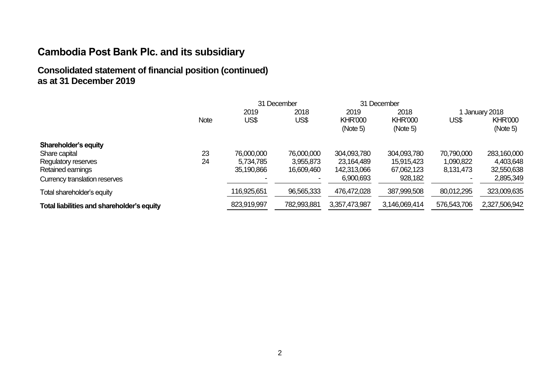#### **Consolidated statement of financial position (continued) as at 31 December 2019**

|                                            |             |             | 31 December |                            | 31 December                |                |                            |
|--------------------------------------------|-------------|-------------|-------------|----------------------------|----------------------------|----------------|----------------------------|
|                                            |             | 2019        | 2018        | 2019                       | 2018                       | 1 January 2018 |                            |
|                                            | <b>Note</b> | US\$        | US\$        | <b>KHR'000</b><br>(Note 5) | <b>KHR'000</b><br>(Note 5) | US\$           | <b>KHR'000</b><br>(Note 5) |
| Shareholder's equity                       |             |             |             |                            |                            |                |                            |
| Share capital                              | 23          | 76,000,000  | 76,000,000  | 304,093,780                | 304,093,780                | 70,790,000     | 283,160,000                |
| Regulatory reserves                        | 24          | 5,734,785   | 3,955,873   | 23,164,489                 | 15,915,423                 | 1,090,822      | 4,403,648                  |
| Retained earnings                          |             | 35,190,866  | 16,609,460  | 142,313,066                | 67,062,123                 | 8,131,473      | 32,550,638                 |
| Currency translation reserves              |             |             |             | 6,900,693                  | 928,182                    |                | 2,895,349                  |
| Total shareholder's equity                 |             | 116,925,651 | 96,565,333  | 476,472,028                | 387,999,508                | 80,012,295     | 323,009,635                |
| Total liabilities and shareholder's equity |             | 823,919,997 | 782,993,881 | 3,357,473,987              | 3,146,069,414              | 576,543,706    | 2,327,506,942              |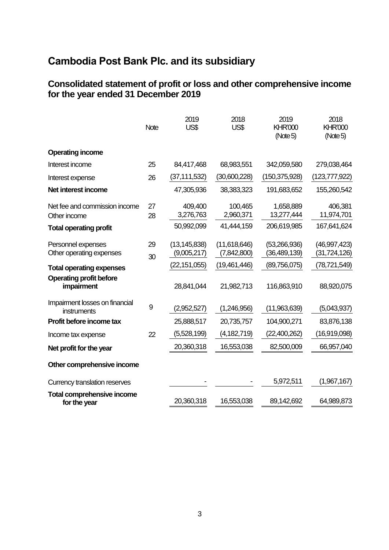#### **Consolidated statement of profit or loss and other comprehensive income for the year ended 31 December 2019**

|                                                   | <b>Note</b> | 2019<br>US\$                  | 2018<br>US\$                | 2019<br><b>KHR'000</b><br>(Note 5) | 2018<br><b>KHR'000</b><br>(Note 5) |
|---------------------------------------------------|-------------|-------------------------------|-----------------------------|------------------------------------|------------------------------------|
| <b>Operating income</b>                           |             |                               |                             |                                    |                                    |
| Interest income                                   | 25          | 84,417,468                    | 68,983,551                  | 342,059,580                        | 279,038,464                        |
| Interest expense                                  | 26          | (37, 111, 532)                | (30,600,228)                | (150, 375, 928)                    | (123, 777, 922)                    |
| Net interest income                               |             | 47,305,936                    | 38,383,323                  | 191,683,652                        | 155,260,542                        |
| Net fee and commission income                     | 27          | 409,400<br>3,276,763          | 100,465<br>2,960,371        | 1,658,889<br>13,277,444            | 406,381<br>11,974,701              |
| Other income<br><b>Total operating profit</b>     | 28          | 50,992,099                    | 41,444,159                  | 206,619,985                        | 167,641,624                        |
| Personnel expenses<br>Other operating expenses    | 29<br>30    | (13, 145, 838)<br>(9,005,217) | (11,618,646)<br>(7,842,800) | (53,266,936)<br>(36, 489, 139)     | (46,997,423)<br>(31, 724, 126)     |
| <b>Total operating expenses</b>                   |             | (22, 151, 055)                | (19,461,446)                | (89,756,075)                       | (78, 721, 549)                     |
| <b>Operating profit before</b><br>impairment      |             | 28,841,044                    | 21,982,713                  | 116,863,910                        | 88,920,075                         |
| Impairment losses on financial<br>instruments     | 9           | (2,952,527)                   | (1,246,956)                 | (11,963,639)                       | (5,043,937)                        |
| Profit before income tax                          |             | 25,888,517                    | 20,735,757                  | 104,900,271                        | 83,876,138                         |
| Income tax expense                                | 22          | (5,528,199)                   | (4,182,719)                 | (22,400,262)                       | (16,919,098)                       |
| Net profit for the year                           |             | 20,360,318                    | 16,553,038                  | 82,500,009                         | 66,957,040                         |
| Other comprehensive income                        |             |                               |                             |                                    |                                    |
| Currency translation reserves                     |             |                               |                             | 5,972,511                          | (1,967,167)                        |
| <b>Total comprehensive income</b><br>for the year |             | 20,360,318                    | 16,553,038                  | 89,142,692                         | 64,989,873                         |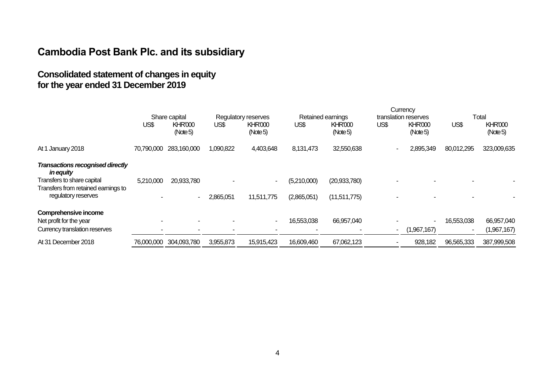### **Consolidated statement of changes in equity for the year ended 31 December 2019**

|                                                                   |            | Share capital              |           | Regulatory reserves        |             | Retained earnings          |                | translation reserves       |            | Total                      |
|-------------------------------------------------------------------|------------|----------------------------|-----------|----------------------------|-------------|----------------------------|----------------|----------------------------|------------|----------------------------|
|                                                                   | US\$       | <b>KHR'000</b><br>(Note 5) | US\$      | <b>KHR'000</b><br>(Note 5) | US\$        | <b>KHR'000</b><br>(Note 5) | US\$           | <b>KHR'000</b><br>(Note 5) | US\$       | <b>KHR'000</b><br>(Note 5) |
| At 1 January 2018                                                 | 70,790,000 | 283,160,000                | 1,090,822 | 4,403,648                  | 8,131,473   | 32,550,638                 |                | 2,895,349                  | 80,012,295 | 323,009,635                |
| <b>Transactions recognised directly</b><br><i>in equity</i>       |            |                            |           |                            |             |                            |                |                            |            |                            |
| Transfers to share capital<br>Transfers from retained earnings to | 5,210,000  | 20,933,780                 |           | $\sim$                     | (5,210,000) | (20, 933, 780)             |                |                            |            |                            |
| regulatory reserves                                               |            | $\sim$                     | 2,865,051 | 11,511,775                 | (2,865,051) | (11,511,775)               |                |                            |            |                            |
| Comprehensive income                                              |            |                            |           |                            |             |                            |                |                            |            |                            |
| Net profit for the year                                           |            | $\overline{\phantom{a}}$   |           | $\sim$                     | 16,553,038  | 66,957,040                 |                |                            | 16,553,038 | 66,957,040                 |
| Currency translation reserves                                     |            |                            |           |                            |             |                            | $\overline{a}$ | (1,967,167)                |            | (1,967,167)                |
| At 31 December 2018                                               | 76,000,000 | 304,093,780                | 3,955,873 | 15,915,423                 | 16,609,460  | 67,062,123                 |                | 928,182                    | 96,565,333 | 387,999,508                |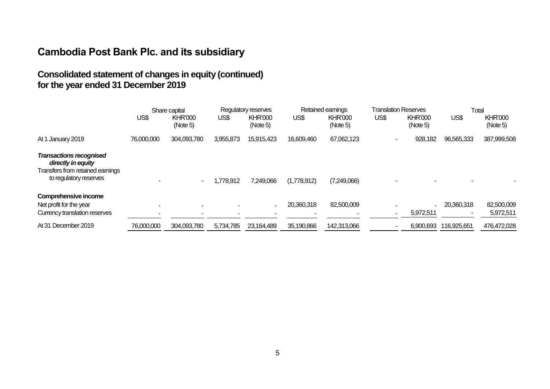### **Consolidated statement of changes in equity (continued) for the year ended 31 December 2019**

|                                                                                                                    | Share capital            |                            | Regulatory reserves |                            | Retained earnings |                            | <b>Translation Reserves</b> |                            | Total       |                            |
|--------------------------------------------------------------------------------------------------------------------|--------------------------|----------------------------|---------------------|----------------------------|-------------------|----------------------------|-----------------------------|----------------------------|-------------|----------------------------|
|                                                                                                                    | US\$                     | <b>KHR'000</b><br>(Note 5) | US\$                | <b>KHR'000</b><br>(Note 5) | US\$              | <b>KHR'000</b><br>(Note 5) | US\$                        | <b>KHR'000</b><br>(Note 5) | US\$        | <b>KHR'000</b><br>(Note 5) |
| At 1 January 2019                                                                                                  | 76,000,000               | 304,093,780                | 3,955,873           | 15,915,423                 | 16,609,460        | 67,062,123                 |                             | 928,182                    | 96,565,333  | 387,999,508                |
| <b>Transactions recognised</b><br>directly in equity<br>Transfers from retained earnings<br>to regulatory reserves |                          |                            | 1,778,912           | 7,249,066                  | (1,778,912)       | (7,249,066)                |                             |                            |             |                            |
| Comprehensive income<br>Net profit for the year<br>Currency translation reserves                                   | $\overline{\phantom{a}}$ |                            | -                   | ۰                          | 20,360,318        | 82,500,009                 |                             | 5,972,511                  | 20,360,318  | 82,500,009<br>5,972,511    |
| At 31 December 2019                                                                                                | 76,000,000               | 304,093,780                | 5,734,785           | 23,164,489                 | 35,190,866        | 142,313,066                |                             | 6,900,693                  | 116,925,651 | 476,472,028                |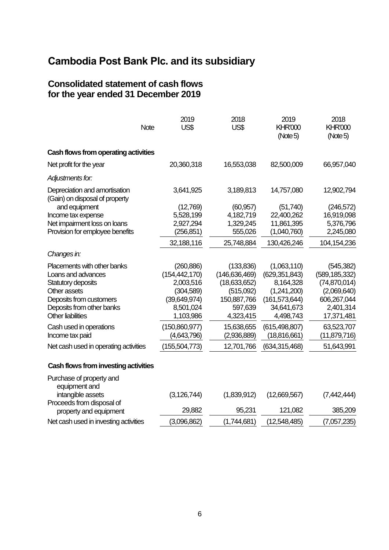#### **Consolidated statement of cash flows for the year ended 31 December 2019**

| <b>Note</b>                                                             | 2019<br>US\$                               | 2018<br>US\$                                  | 2019<br><b>KHR'000</b><br>(Note5)           | 2018<br><b>KHR'000</b><br>(Note5)               |
|-------------------------------------------------------------------------|--------------------------------------------|-----------------------------------------------|---------------------------------------------|-------------------------------------------------|
| Cash flows from operating activities                                    |                                            |                                               |                                             |                                                 |
| Net profit for the year                                                 | 20,360,318                                 | 16,553,038                                    | 82,500,009                                  | 66,957,040                                      |
| Adjustments for:                                                        |                                            |                                               |                                             |                                                 |
| Depreciation and amortisation<br>(Gain) on disposal of property         | 3,641,925                                  | 3,189,813                                     | 14,757,080                                  | 12,902,794                                      |
| and equipment                                                           | (12,769)                                   | (60, 957)                                     | (51,740)                                    | (246, 572)                                      |
| Income tax expense                                                      | 5,528,199                                  | 4,182,719                                     | 22,400,262                                  | 16,919,098                                      |
| Net impairment loss on loans                                            | 2,927,294                                  | 1,329,245                                     | 11,861,395                                  | 5,376,796                                       |
| Provision for employee benefits                                         | (256, 851)                                 | 555,026                                       | (1,040,760)                                 | 2,245,080                                       |
|                                                                         | 32,188,116                                 | 25,748,884                                    | 130,426,246                                 | 104,154,236                                     |
| Changes in:                                                             |                                            |                                               |                                             |                                                 |
| Placements with other banks<br>Loans and advances<br>Statutory deposits | (260, 886)<br>(154, 442, 170)<br>2,003,516 | (133, 836)<br>(146, 636, 469)<br>(18,633,652) | (1,063,110)<br>(629, 351, 843)<br>8,164,328 | (545, 382)<br>(589, 185, 332)<br>(74, 870, 014) |
| Other assets                                                            | (304, 589)                                 | (515,092)                                     | (1,241,200)                                 | (2,069,640)                                     |
| Deposits from customers                                                 | (39,649,974)                               | 150,887,766                                   | (161, 573, 644)                             | 606,267,044                                     |
| Deposits from other banks                                               | 8,501,024                                  | 597,639                                       | 34,641,673                                  | 2,401,314                                       |
| <b>Other liabilities</b>                                                | 1,103,986                                  | 4,323,415                                     | 4,498,743                                   | 17,371,481                                      |
| Cash used in operations<br>Income tax paid                              | (150,860,977)<br>(4,643,796)               | 15,638,655<br>(2,936,889)                     | (615, 498, 807)<br>(18,816,661)             | 63,523,707<br>(11,879,716)                      |
| Net cash used in operating activities                                   | (155, 504, 773)                            | 12,701,766                                    | (634, 315, 468)                             | 51,643,991                                      |
| Cash flows from investing activities                                    |                                            |                                               |                                             |                                                 |
| Purchase of property and<br>equipment and<br>intangible assets          | (3, 126, 744)                              | (1,839,912)                                   | (12,669,567)                                | (7,442,444)                                     |

| Proceeds from disposal of             | $\cdots$    |             | (1, 1, 2, 3, 5, 6) | $\cdots, \cdots, \cdots$ |
|---------------------------------------|-------------|-------------|--------------------|--------------------------|
| property and equipment                | 29,882      | 95,231      | 121,082            | 385,209                  |
| Net cash used in investing activities | (3,096,862) | (1,744,681) | (12,548,485)       | (7,057,235)              |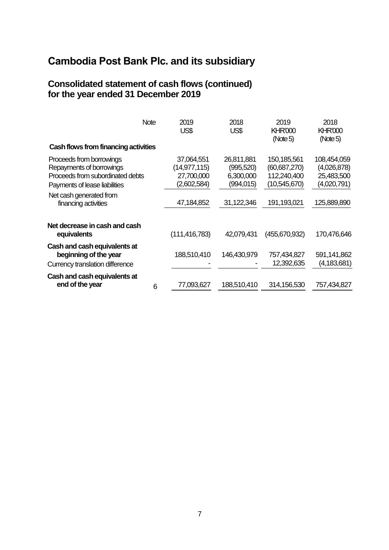#### **Consolidated statement of cash flows (continued) for the year ended 31 December 2019**

|                                                                                                                           | <b>Note</b> | 2019<br>US\$                                            | 2018<br>US\$                                        | 2019<br><b>KHR'000</b><br>(Note 5)                           | 2018<br><b>KHR'000</b><br>(Note5)                       |
|---------------------------------------------------------------------------------------------------------------------------|-------------|---------------------------------------------------------|-----------------------------------------------------|--------------------------------------------------------------|---------------------------------------------------------|
| Cash flows from financing activities                                                                                      |             |                                                         |                                                     |                                                              |                                                         |
| Proceeds from borrowings<br>Repayments of borrowings<br>Proceeds from subordinated debts<br>Payments of lease liabilities |             | 37,064,551<br>(14,977,115)<br>27,700,000<br>(2,602,584) | 26,811,881<br>(995, 520)<br>6,300,000<br>(994, 015) | 150,185,561<br>(60, 687, 270)<br>112,240,400<br>(10,545,670) | 108,454,059<br>(4,026,878)<br>25,483,500<br>(4,020,791) |
| Net cash generated from<br>financing activities                                                                           |             | 47,184,852                                              | 31,122,346                                          | 191,193,021                                                  | 125,889,890                                             |
| Net decrease in cash and cash<br>equivalents                                                                              |             | (111, 416, 783)                                         | 42,079,431                                          | (455,670,932)                                                | 170,476,646                                             |
| Cash and cash equivalents at<br>beginning of the year<br>Currency translation difference                                  |             | 188,510,410                                             | 146,430,979                                         | 757,434,827<br>12,392,635                                    | 591,141,862<br>(4, 183, 681)                            |
| Cash and cash equivalents at<br>end of the year                                                                           | 6           | 77,093,627                                              | 188,510,410                                         | 314, 156, 530                                                | 757,434,827                                             |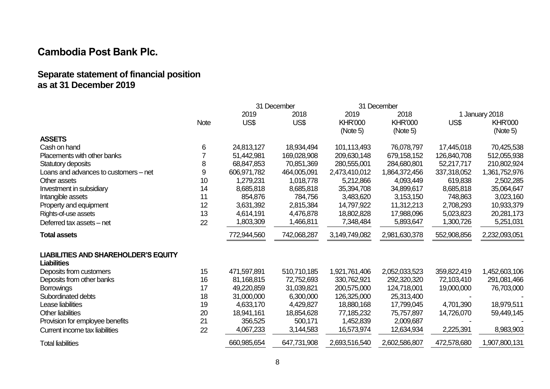#### **Separate statement of financial position as at 31 December 2019**

|                                             |             |             | 31 December |                | 31 December    |             |                |
|---------------------------------------------|-------------|-------------|-------------|----------------|----------------|-------------|----------------|
|                                             |             | 2019        | 2018        | 2019           | 2018           |             | 1 January 2018 |
|                                             | <b>Note</b> | US\$        | US\$        | <b>KHR'000</b> | <b>KHR'000</b> | US\$        | <b>KHR'000</b> |
|                                             |             |             |             | (Note 5)       | (Note 5)       |             | (Note 5)       |
| <b>ASSETS</b>                               |             |             |             |                |                |             |                |
| Cash on hand                                | 6           | 24,813,127  | 18,934,494  | 101,113,493    | 76,078,797     | 17,445,018  | 70,425,538     |
| Placements with other banks                 |             | 51,442,981  | 169,028,908 | 209,630,148    | 679,158,152    | 126,840,708 | 512,055,938    |
| Statutory deposits                          | 8           | 68,847,853  | 70,851,369  | 280,555,001    | 284,680,801    | 52,217,717  | 210,802,924    |
| Loans and advances to customers - net       | 9           | 606,971,782 | 464,005,091 | 2,473,410,012  | 1,864,372,456  | 337,318,052 | 1,361,752,976  |
| Other assets                                | 10          | 1,279,231   | 1,018,778   | 5,212,866      | 4,093,449      | 619,838     | 2,502,285      |
| Investment in subsidiary                    | 14          | 8,685,818   | 8,685,818   | 35,394,708     | 34,899,617     | 8,685,818   | 35,064,647     |
| Intangible assets                           | 11          | 854,876     | 784,756     | 3,483,620      | 3,153,150      | 748,863     | 3,023,160      |
| Property and equipment                      | 12          | 3,631,392   | 2,815,384   | 14,797,922     | 11,312,213     | 2,708,293   | 10,933,379     |
| Rights-of-use assets                        | 13          | 4,614,191   | 4,476,878   | 18,802,828     | 17,988,096     | 5,023,823   | 20,281,173     |
| Deferred tax assets - net                   | 22          | 1,803,309   | 1,466,811   | 7,348,484      | 5,893,647      | 1,300,726   | 5,251,031      |
| <b>Total assets</b>                         |             | 772,944,560 | 742,068,287 | 3,149,749,082  | 2,981,630,378  | 552,908,856 | 2,232,093,051  |
| <b>LIABILITIES AND SHAREHOLDER'S EQUITY</b> |             |             |             |                |                |             |                |
| <b>Liabilities</b>                          |             |             |             |                |                |             |                |
| Deposits from customers                     | 15          | 471,597,891 | 510,710,185 | 1,921,761,406  | 2,052,033,523  | 359,822,419 | 1,452,603,106  |
| Deposits from other banks                   | 16          | 81,168,815  | 72,752,693  | 330,762,921    | 292,320,320    | 72,103,410  | 291,081,466    |
| <b>Borrowings</b>                           | 17          | 49,220,859  | 31,039,821  | 200,575,000    | 124,718,001    | 19,000,000  | 76,703,000     |
| Subordinated debts                          | 18          | 31,000,000  | 6,300,000   | 126,325,000    | 25,313,400     |             |                |
| Lease liabilities                           | 19          | 4,633,170   | 4,429,827   | 18,880,168     | 17,799,045     | 4,701,390   | 18,979,511     |
| <b>Other liabilities</b>                    | 20          | 18,941,161  | 18,854,628  | 77,185,232     | 75,757,897     | 14,726,070  | 59,449,145     |
| Provision for employee benefits             | 21          | 356,525     | 500,171     | 1,452,839      | 2,009,687      |             |                |
| Current income tax liabilities              | 22          | 4,067,233   | 3,144,583   | 16,573,974     | 12,634,934     | 2,225,391   | 8,983,903      |
| <b>Total liabilities</b>                    |             | 660,985,654 | 647,731,908 | 2,693,516,540  | 2,602,586,807  | 472,578,680 | 1,907,800,131  |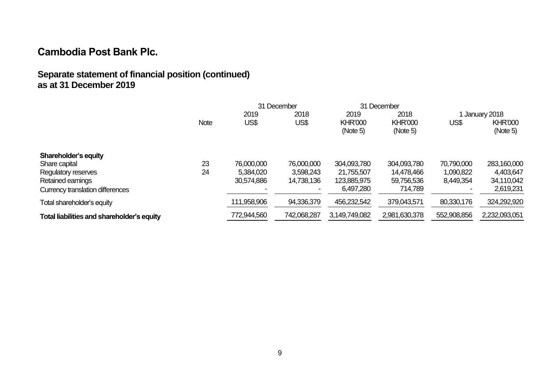### **Separate statement of financial position (continued) as at 31 December 2019**

|                                            |             |             | 31 December |                | 31 December    |                |                |
|--------------------------------------------|-------------|-------------|-------------|----------------|----------------|----------------|----------------|
|                                            |             | 2019        | 2018        | 2019           | 2018           | 1 January 2018 |                |
|                                            | <b>Note</b> | US\$        | US\$        | <b>KHR'000</b> | <b>KHR'000</b> | US\$           | <b>KHR'000</b> |
|                                            |             |             |             | (Note 5)       | (Note 5)       |                | (Note 5)       |
| Shareholder's equity                       |             |             |             |                |                |                |                |
| Share capital                              | 23          | 76.000.000  | 76,000,000  | 304,093,780    | 304,093,780    | 70,790,000     | 283,160,000    |
| Regulatory reserves                        | 24          | 5,384,020   | 3,598,243   | 21,755,507     | 14,478,466     | 1,090,822      | 4,403,647      |
| Retained earnings                          |             | 30,574,886  | 14,738,136  | 123,885,975    | 59,756,536     | 8,449,354      | 34,110,042     |
| Currency translation differences           |             |             |             | 6,497,280      | 714,789        |                | 2,619,231      |
| Total shareholder's equity                 |             | 111,958,906 | 94,336,379  | 456,232,542    | 379,043,571    | 80,330,176     | 324,292,920    |
| Total liabilities and shareholder's equity |             | 772,944,560 | 742,068,287 | 3,149,749,082  | 2,981,630,378  | 552,908,856    | 2,232,093,051  |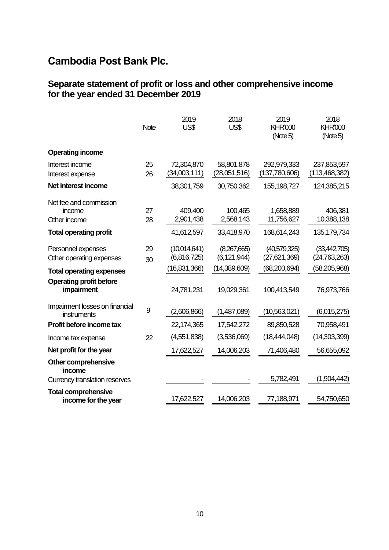#### **Separate statement of profit or loss and other comprehensive income for the year ended 31 December 2019**

|                                                                                 | <b>Note</b> | 2019<br>US\$                                  | 2018<br>US\$                                 | 2019<br><b>KHR'000</b><br>(Note 5)               | 2018<br><b>KHR'000</b><br>(Note 5)                 |
|---------------------------------------------------------------------------------|-------------|-----------------------------------------------|----------------------------------------------|--------------------------------------------------|----------------------------------------------------|
| <b>Operating income</b>                                                         |             |                                               |                                              |                                                  |                                                    |
| Interest income<br>Interest expense                                             | 25<br>26    | 72,304,870<br>(34,003,111)                    | 58,801,878<br>(28,051,516)                   | 292,979,333<br>(137,780,606)                     | 237,853,597<br>(113, 468, 382)                     |
| Net interest income                                                             |             | 38,301,759                                    | 30,750,362                                   | 155, 198, 727                                    | 124,385,215                                        |
| Net fee and commission<br>income<br>Other income                                | 27<br>28    | 409,400<br>2,901,438                          | 100,465<br>2,568,143                         | 1,658,889<br>11,756,627                          | 406,381<br>10,388,138                              |
| <b>Total operating profit</b>                                                   |             | 41,612,597                                    | 33,418,970                                   | 168,614,243                                      | 135, 179, 734                                      |
| Personnel expenses<br>Other operating expenses                                  | 29<br>30    | (10,014,641)<br>(6,816,725)<br>(16, 831, 366) | (8,267,665)<br>(6, 121, 944)<br>(14,389,609) | (40,579,325)<br>(27, 621, 369)<br>(68, 200, 694) | (33, 442, 705)<br>(24, 763, 263)<br>(58, 205, 968) |
| <b>Total operating expenses</b><br><b>Operating profit before</b><br>impairment |             | 24,781,231                                    | 19,029,361                                   | 100,413,549                                      | 76,973,766                                         |
| Impairment losses on financial<br>instruments                                   | 9           | (2,606,866)                                   | (1,487,089)                                  | (10,563,021)                                     | (6,015,275)                                        |
| Profit before income tax                                                        |             | 22,174,365                                    | 17,542,272                                   | 89,850,528                                       | 70,958,491                                         |
| Income tax expense                                                              | 22          | (4,551,838)                                   | (3,536,069)                                  | (18, 444, 048)                                   | (14,303,399)                                       |
| Net profit for the year                                                         |             | 17,622,527                                    | 14,006,203                                   | 71,406,480                                       | 56,655,092                                         |
| Other comprehensive<br>income                                                   |             |                                               |                                              |                                                  |                                                    |
| Currency translation reserves                                                   |             |                                               |                                              | 5,782,491                                        | (1,904,442)                                        |
| <b>Total comprehensive</b><br>income for the year                               |             | 17,622,527                                    | 14,006,203                                   | 77,188,971                                       | 54,750,650                                         |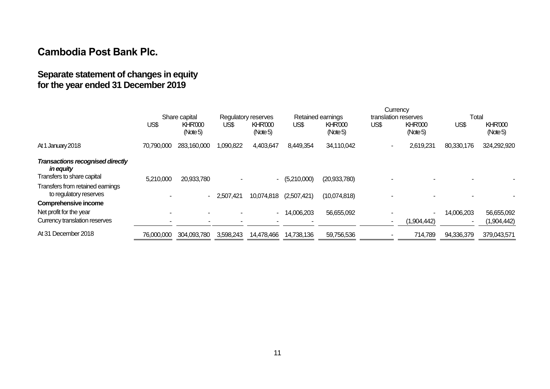### **Separate statement of changes in equity for the year ended 31 December 2019**

|                                                            |            | Share capital              |              | Regulatory reserves        |             | Retained earnings          | translation reserves |                            | Total      |                            |
|------------------------------------------------------------|------------|----------------------------|--------------|----------------------------|-------------|----------------------------|----------------------|----------------------------|------------|----------------------------|
|                                                            | US\$       | <b>KHR'000</b><br>(Note 5) | US\$         | <b>KHR'000</b><br>(Note 5) | US\$        | <b>KHR'000</b><br>(Note 5) | US\$                 | <b>KHR'000</b><br>(Note 5) | US\$       | <b>KHR'000</b><br>(Note 5) |
| At 1 January 2018                                          | 70,790,000 | 283,160,000                | 1,090,822    | 4,403,647                  | 8,449,354   | 34,110,042                 |                      | 2,619,231                  | 80,330,176 | 324,292,920                |
| Transactions recognised directly<br><i>in equity</i>       |            |                            |              |                            |             |                            |                      |                            |            |                            |
| Transfers to share capital                                 | 5,210,000  | 20,933,780                 |              | $\sim$                     | (5,210,000) | (20, 933, 780)             |                      |                            |            |                            |
| Transfers from retained earnings<br>to regulatory reserves |            |                            | $-2,507,421$ | 10,074,818                 | (2,507,421) | (10,074,818)               |                      |                            |            |                            |
| Comprehensive income                                       |            |                            |              |                            |             |                            |                      |                            |            |                            |
| Net profit for the year                                    |            |                            |              | $\blacksquare$             | 14,006,203  | 56,655,092                 |                      |                            | 14,006,203 | 56,655,092                 |
| Currency translation reserves                              |            |                            |              |                            |             |                            |                      | (1,904,442)                |            | (1,904,442)                |
| At 31 December 2018                                        | 76,000,000 | 304,093,780                | 3,598,243    | 14,478,466                 | 14,738,136  | 59,756,536                 |                      | 714,789                    | 94,336,379 | 379,043,571                |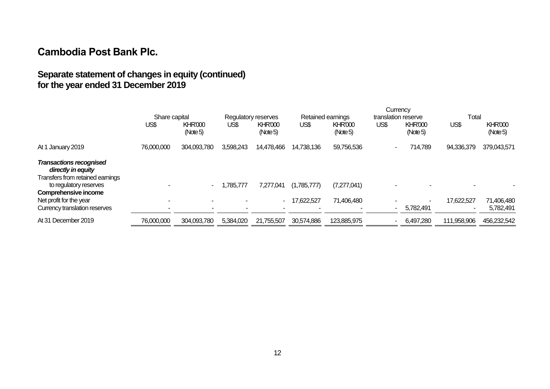### **Separate statement of changes in equity (continued) for the year ended 31 December 2019**

|                                                                                          |               |                            |                     |                           | Currency          |                            |                     |                            |             |                            |
|------------------------------------------------------------------------------------------|---------------|----------------------------|---------------------|---------------------------|-------------------|----------------------------|---------------------|----------------------------|-------------|----------------------------|
|                                                                                          | Share capital |                            | Regulatory reserves |                           | Retained earnings |                            | translation reserve |                            | Total       |                            |
|                                                                                          | US\$          | <b>KHR'000</b><br>(Note 5) | US\$                | <b>KHR'000</b><br>(Note5) | US\$              | <b>KHR'000</b><br>(Note 5) | US\$                | <b>KHR'000</b><br>(Note 5) | US\$        | <b>KHR'000</b><br>(Note 5) |
| At 1 January 2019                                                                        | 76,000,000    | 304,093,780                | 3,598,243           | 14,478,466                | 14,738,136        | 59,756,536                 |                     | 714,789                    | 94,336,379  | 379,043,571                |
| <b>Transactions recognised</b><br>directly in equity<br>Transfers from retained earnings |               |                            |                     |                           |                   |                            |                     |                            |             |                            |
| to regulatory reserves                                                                   |               | $\sim$                     | 1,785,777           | 7,277,041                 | (1,785,777)       | (7,277,041)                |                     |                            |             |                            |
| Comprehensive income<br>Net profit for the year<br>Currency translation reserves         |               | ٠                          |                     | $\sim$                    | 17,622,527        | 71,406,480                 |                     | 5,782,491                  | 17,622,527  | 71,406,480<br>5,782,491    |
| At 31 December 2019                                                                      | 76,000,000    | 304,093,780                | 5,384,020           | 21,755,507                | 30,574,886        | 123,885,975                |                     | 6,497,280                  | 111,958,906 | 456,232,542                |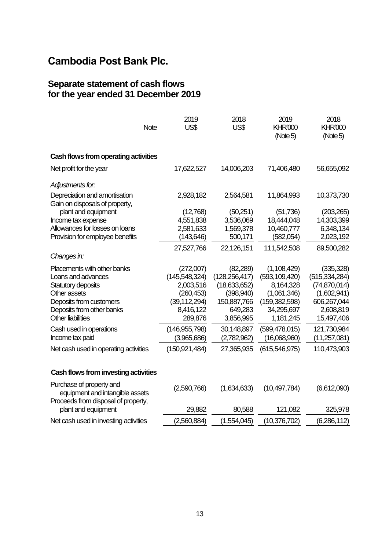#### **Separate statement of cash flows for the year ended 31 December 2019**

| <b>Note</b>                                                                                       | 2019<br>US\$                              | 2018<br>US\$                                 | 2019<br><b>KHR'000</b><br>(Note 5)          | 2018<br><b>KHR'000</b><br>(Note 5)              |
|---------------------------------------------------------------------------------------------------|-------------------------------------------|----------------------------------------------|---------------------------------------------|-------------------------------------------------|
| Cash flows from operating activities                                                              |                                           |                                              |                                             |                                                 |
| Net profit for the year                                                                           | 17,622,527                                | 14,006,203                                   | 71,406,480                                  | 56,655,092                                      |
| Adjustments for:                                                                                  |                                           |                                              |                                             |                                                 |
| Depreciation and amortisation<br>Gain on disposals of property,                                   | 2,928,182                                 | 2,564,581                                    | 11,864,993                                  | 10,373,730                                      |
| plant and equipment                                                                               | (12,768)                                  | (50,251)                                     | (51, 736)                                   | (203, 265)                                      |
| Income tax expense                                                                                | 4,551,838                                 | 3,536,069                                    | 18,444,048                                  | 14,303,399                                      |
| Allowances for losses on loans                                                                    | 2,581,633                                 | 1,569,378                                    | 10,460,777                                  | 6,348,134                                       |
| Provision for employee benefits                                                                   | (143, 646)                                | 500,171                                      | (582,054)                                   | 2,023,192                                       |
|                                                                                                   | 27,527,766                                | 22,126,151                                   | 111,542,508                                 | 89,500,282                                      |
| Changes in:                                                                                       |                                           |                                              |                                             |                                                 |
| Placements with other banks<br>Loans and advances<br>Statutory deposits                           | (272,007)<br>(145, 548, 324)<br>2,003,516 | (82, 289)<br>(128, 256, 417)<br>(18,633,652) | (1,108,429)<br>(593, 109, 420)<br>8,164,328 | (335, 328)<br>(515, 334, 284)<br>(74, 870, 014) |
| Other assets                                                                                      | (260, 453)                                | (398, 940)                                   | (1,061,346)                                 | (1,602,941)                                     |
| Deposits from customers                                                                           | (39, 112, 294)                            | 150,887,766                                  | (159, 382, 598)                             | 606,267,044                                     |
| Deposits from other banks                                                                         | 8,416,122                                 | 649,283                                      | 34,295,697                                  | 2,608,819                                       |
| <b>Other liabilities</b>                                                                          | 289,876                                   | 3,856,995                                    | 1,181,245                                   | 15,497,406                                      |
| Cash used in operations                                                                           | (146, 955, 798)                           | 30,148,897                                   | (599, 478, 015)                             | 121,730,984                                     |
| Income tax paid                                                                                   | (3,965,686)                               | (2,782,962)                                  | (16,068,960)                                | (11,257,081)                                    |
| Net cash used in operating activities                                                             | (150,921,484)                             | 27,365,935                                   | (615,546,975)                               | 110,473,903                                     |
| Cash flows from investing activities                                                              |                                           |                                              |                                             |                                                 |
| Purchase of property and<br>equipment and intangible assets<br>Drocoade from dienoeal of proparty | (2,590,766)                               | (1,634,633)                                  | (10, 497, 784)                              | (6,612,090)                                     |

| Proceeds from disposal of property,   |             |             |                |             |
|---------------------------------------|-------------|-------------|----------------|-------------|
| plant and equipment                   | 29,882      | 80,588      | 121,082        | 325,978     |
| Net cash used in investing activities | (2,560,884) | (1,554,045) | (10, 376, 702) | (6,286,112) |